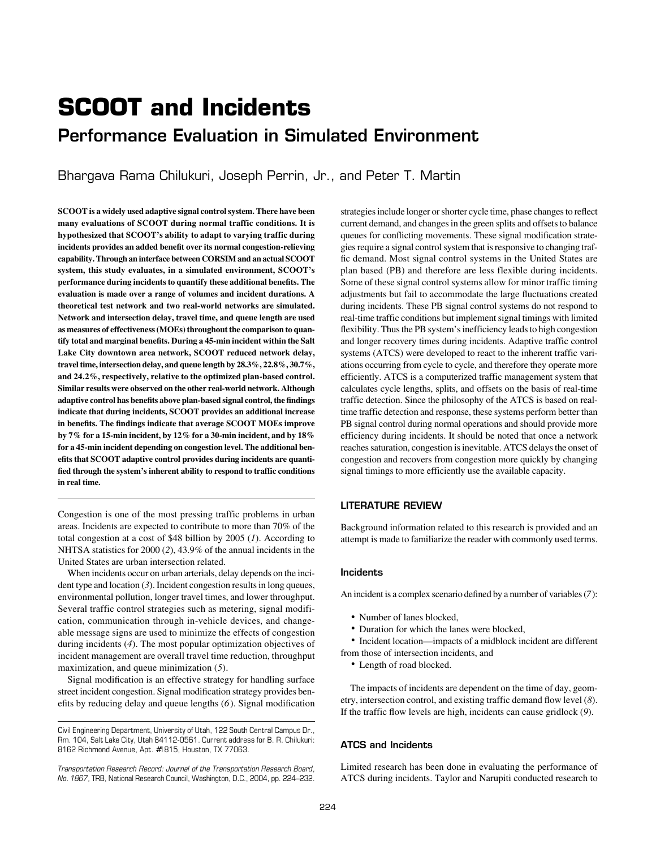# **SCOOT and Incidents**

# Performance Evaluation in Simulated Environment

Bhargava Rama Chilukuri, Joseph Perrin, Jr., and Peter T. Martin

**SCOOT is a widely used adaptive signal control system. There have been many evaluations of SCOOT during normal traffic conditions. It is hypothesized that SCOOT's ability to adapt to varying traffic during incidents provides an added benefit over its normal congestion-relieving capability. Through an interface between CORSIM and an actual SCOOT system, this study evaluates, in a simulated environment, SCOOT's performance during incidents to quantify these additional benefits. The evaluation is made over a range of volumes and incident durations. A theoretical test network and two real-world networks are simulated. Network and intersection delay, travel time, and queue length are used as measures of effectiveness (MOEs) throughout the comparison to quantify total and marginal benefits. During a 45-min incident within the Salt Lake City downtown area network, SCOOT reduced network delay, travel time, intersection delay, and queue length by 28.3%, 22.8%, 30.7%, and 24.2%, respectively, relative to the optimized plan-based control. Similar results were observed on the other real-world network. Although adaptive control has benefits above plan-based signal control, the findings indicate that during incidents, SCOOT provides an additional increase in benefits. The findings indicate that average SCOOT MOEs improve by 7% for a 15-min incident, by 12% for a 30-min incident, and by 18% for a 45-min incident depending on congestion level. The additional benefits that SCOOT adaptive control provides during incidents are quantified through the system's inherent ability to respond to traffic conditions in real time.**

Congestion is one of the most pressing traffic problems in urban areas. Incidents are expected to contribute to more than 70% of the total congestion at a cost of \$48 billion by 2005 (*1*). According to NHTSA statistics for 2000 (*2*), 43.9% of the annual incidents in the United States are urban intersection related.

When incidents occur on urban arterials, delay depends on the incident type and location (*3*). Incident congestion results in long queues, environmental pollution, longer travel times, and lower throughput. Several traffic control strategies such as metering, signal modification, communication through in-vehicle devices, and changeable message signs are used to minimize the effects of congestion during incidents (*4*). The most popular optimization objectives of incident management are overall travel time reduction, throughput maximization, and queue minimization (*5*).

Signal modification is an effective strategy for handling surface street incident congestion. Signal modification strategy provides benefits by reducing delay and queue lengths (*6*). Signal modification

strategies include longer or shorter cycle time, phase changes to reflect current demand, and changes in the green splits and offsets to balance queues for conflicting movements. These signal modification strategies require a signal control system that is responsive to changing traffic demand. Most signal control systems in the United States are plan based (PB) and therefore are less flexible during incidents. Some of these signal control systems allow for minor traffic timing adjustments but fail to accommodate the large fluctuations created during incidents. These PB signal control systems do not respond to real-time traffic conditions but implement signal timings with limited flexibility. Thus the PB system's inefficiency leads to high congestion and longer recovery times during incidents. Adaptive traffic control systems (ATCS) were developed to react to the inherent traffic variations occurring from cycle to cycle, and therefore they operate more efficiently. ATCS is a computerized traffic management system that calculates cycle lengths, splits, and offsets on the basis of real-time traffic detection. Since the philosophy of the ATCS is based on realtime traffic detection and response, these systems perform better than PB signal control during normal operations and should provide more efficiency during incidents. It should be noted that once a network reaches saturation, congestion is inevitable. ATCS delays the onset of congestion and recovers from congestion more quickly by changing signal timings to more efficiently use the available capacity.

# LITERATURE REVIEW

Background information related to this research is provided and an attempt is made to familiarize the reader with commonly used terms.

# Incidents

An incident is a complex scenario defined by a number of variables (*7*):

- Number of lanes blocked.
- Duration for which the lanes were blocked,

• Incident location—impacts of a midblock incident are different from those of intersection incidents, and

• Length of road blocked.

The impacts of incidents are dependent on the time of day, geometry, intersection control, and existing traffic demand flow level (*8*). If the traffic flow levels are high, incidents can cause gridlock (*9*).

# ATCS and Incidents

Limited research has been done in evaluating the performance of ATCS during incidents. Taylor and Narupiti conducted research to

Civil Engineering Department, University of Utah, 122 South Central Campus Dr., Rm. 104, Salt Lake City, Utah 84112-0561. Current address for B. R. Chilukuri: 8162 Richmond Avenue, Apt. #1815, Houston, TX 77063.

*Transportation Research Record: Journal of the Transportation Research Board, No. 1867,* TRB, National Research Council, Washington, D.C., 2004, pp. 224–232.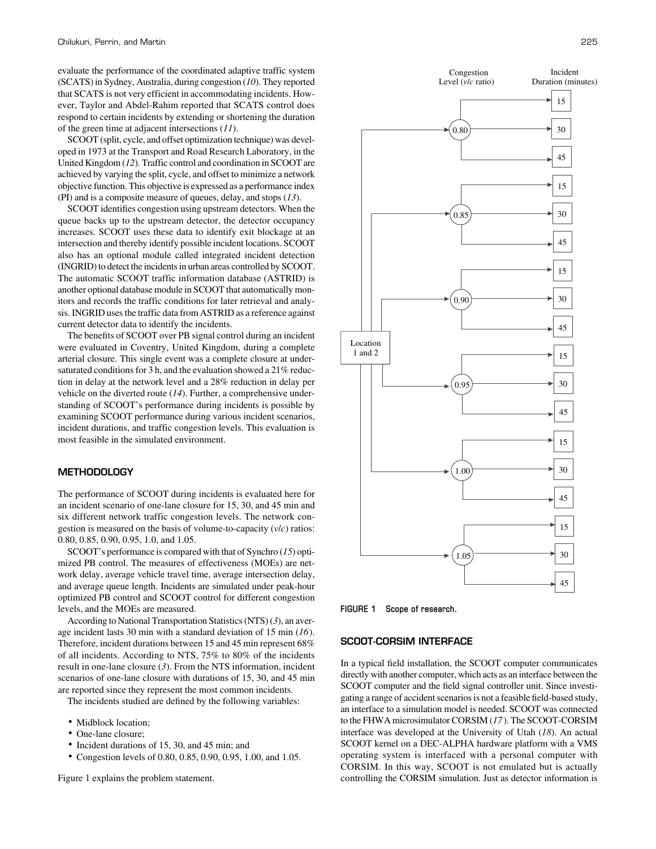evaluate the performance of the coordinated adaptive traffic system (SCATS) in Sydney, Australia, during congestion (*10*). They reported that SCATS is not very efficient in accommodating incidents. However, Taylor and Abdel-Rahim reported that SCATS control does respond to certain incidents by extending or shortening the duration of the green time at adjacent intersections (*11*).

SCOOT (split, cycle, and offset optimization technique) was developed in 1973 at the Transport and Road Research Laboratory, in the United Kingdom (*12*). Traffic control and coordination in SCOOT are achieved by varying the split, cycle, and offset to minimize a network objective function. This objective is expressed as a performance index (PI) and is a composite measure of queues, delay, and stops (*13*).

SCOOT identifies congestion using upstream detectors. When the queue backs up to the upstream detector, the detector occupancy increases. SCOOT uses these data to identify exit blockage at an intersection and thereby identify possible incident locations. SCOOT also has an optional module called integrated incident detection (INGRID) to detect the incidents in urban areas controlled by SCOOT. The automatic SCOOT traffic information database (ASTRID) is another optional database module in SCOOT that automatically monitors and records the traffic conditions for later retrieval and analysis. INGRID uses the traffic data from ASTRID as a reference against current detector data to identify the incidents.

The benefits of SCOOT over PB signal control during an incident were evaluated in Coventry, United Kingdom, during a complete arterial closure. This single event was a complete closure at undersaturated conditions for 3 h, and the evaluation showed a 21% reduction in delay at the network level and a 28% reduction in delay per vehicle on the diverted route (*14*). Further, a comprehensive understanding of SCOOT's performance during incidents is possible by examining SCOOT performance during various incident scenarios, incident durations, and traffic congestion levels. This evaluation is most feasible in the simulated environment.

#### **METHODOLOGY**

The performance of SCOOT during incidents is evaluated here for an incident scenario of one-lane closure for 15, 30, and 45 min and six different network traffic congestion levels. The network congestion is measured on the basis of volume-to-capacity (*v*/*c*) ratios: 0.80, 0.85, 0.90, 0.95, 1.0, and 1.05.

SCOOT's performance is compared with that of Synchro (*15*) optimized PB control. The measures of effectiveness (MOEs) are network delay, average vehicle travel time, average intersection delay, and average queue length. Incidents are simulated under peak-hour optimized PB control and SCOOT control for different congestion levels, and the MOEs are measured.

According to National Transportation Statistics (NTS) (*3*), an average incident lasts 30 min with a standard deviation of 15 min (*16*). Therefore, incident durations between 15 and 45 min represent 68% of all incidents. According to NTS, 75% to 80% of the incidents result in one-lane closure (*3*). From the NTS information, incident scenarios of one-lane closure with durations of 15, 30, and 45 min are reported since they represent the most common incidents.

The incidents studied are defined by the following variables:

- Midblock location;
- One-lane closure:
- Incident durations of 15, 30, and 45 min; and
- Congestion levels of 0.80, 0.85, 0.90, 0.95, 1.00, and 1.05.

Figure 1 explains the problem statement.





**FIGURE 1 Scope of research.**

# SCOOT-CORSIM INTERFACE

In a typical field installation, the SCOOT computer communicates directly with another computer, which acts as an interface between the SCOOT computer and the field signal controller unit. Since investigating a range of accident scenarios is not a feasible field-based study, an interface to a simulation model is needed. SCOOT was connected to the FHWA microsimulator CORSIM (*17*). The SCOOT-CORSIM interface was developed at the University of Utah (*18*). An actual SCOOT kernel on a DEC-ALPHA hardware platform with a VMS operating system is interfaced with a personal computer with CORSIM. In this way, SCOOT is not emulated but is actually controlling the CORSIM simulation. Just as detector information is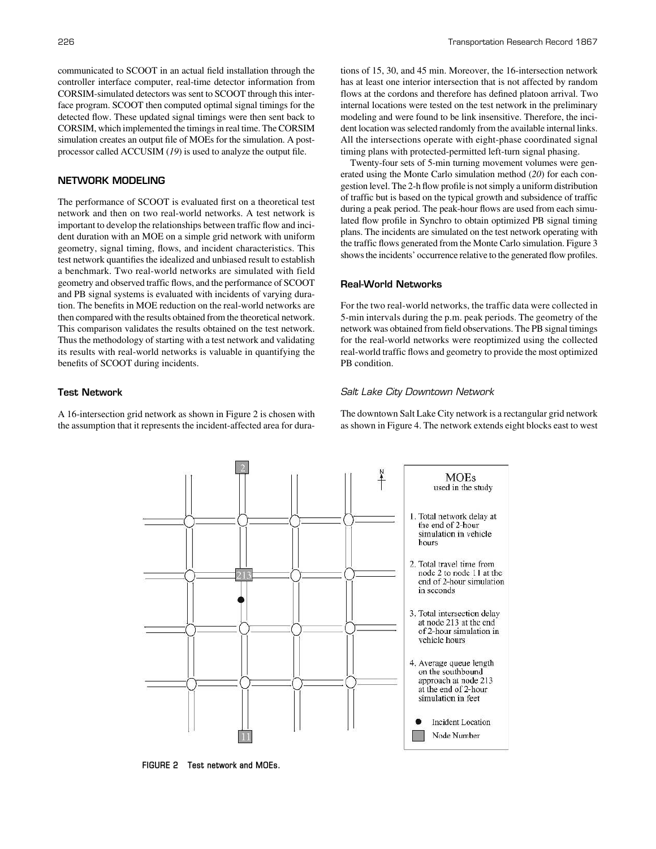communicated to SCOOT in an actual field installation through the controller interface computer, real-time detector information from CORSIM-simulated detectors was sent to SCOOT through this interface program. SCOOT then computed optimal signal timings for the detected flow. These updated signal timings were then sent back to CORSIM, which implemented the timings in real time. The CORSIM simulation creates an output file of MOEs for the simulation. A postprocessor called ACCUSIM (*19*) is used to analyze the output file.

# NETWORK MODELING

The performance of SCOOT is evaluated first on a theoretical test network and then on two real-world networks. A test network is important to develop the relationships between traffic flow and incident duration with an MOE on a simple grid network with uniform geometry, signal timing, flows, and incident characteristics. This test network quantifies the idealized and unbiased result to establish a benchmark. Two real-world networks are simulated with field geometry and observed traffic flows, and the performance of SCOOT and PB signal systems is evaluated with incidents of varying duration. The benefits in MOE reduction on the real-world networks are then compared with the results obtained from the theoretical network. This comparison validates the results obtained on the test network. Thus the methodology of starting with a test network and validating its results with real-world networks is valuable in quantifying the benefits of SCOOT during incidents.

#### Test Network

A 16-intersection grid network as shown in Figure 2 is chosen with the assumption that it represents the incident-affected area for dura-

tions of 15, 30, and 45 min. Moreover, the 16-intersection network has at least one interior intersection that is not affected by random flows at the cordons and therefore has defined platoon arrival. Two internal locations were tested on the test network in the preliminary modeling and were found to be link insensitive. Therefore, the incident location was selected randomly from the available internal links. All the intersections operate with eight-phase coordinated signal timing plans with protected-permitted left-turn signal phasing.

Twenty-four sets of 5-min turning movement volumes were generated using the Monte Carlo simulation method (*20*) for each congestion level. The 2-h flow profile is not simply a uniform distribution of traffic but is based on the typical growth and subsidence of traffic during a peak period. The peak-hour flows are used from each simulated flow profile in Synchro to obtain optimized PB signal timing plans. The incidents are simulated on the test network operating with the traffic flows generated from the Monte Carlo simulation. Figure 3 shows the incidents' occurrence relative to the generated flow profiles.

# Real-World Networks

For the two real-world networks, the traffic data were collected in 5-min intervals during the p.m. peak periods. The geometry of the network was obtained from field observations. The PB signal timings for the real-world networks were reoptimized using the collected real-world traffic flows and geometry to provide the most optimized PB condition.

#### Salt Lake City Downtown Network

The downtown Salt Lake City network is a rectangular grid network as shown in Figure 4. The network extends eight blocks east to west



**FIGURE 2 Test network and MOEs.**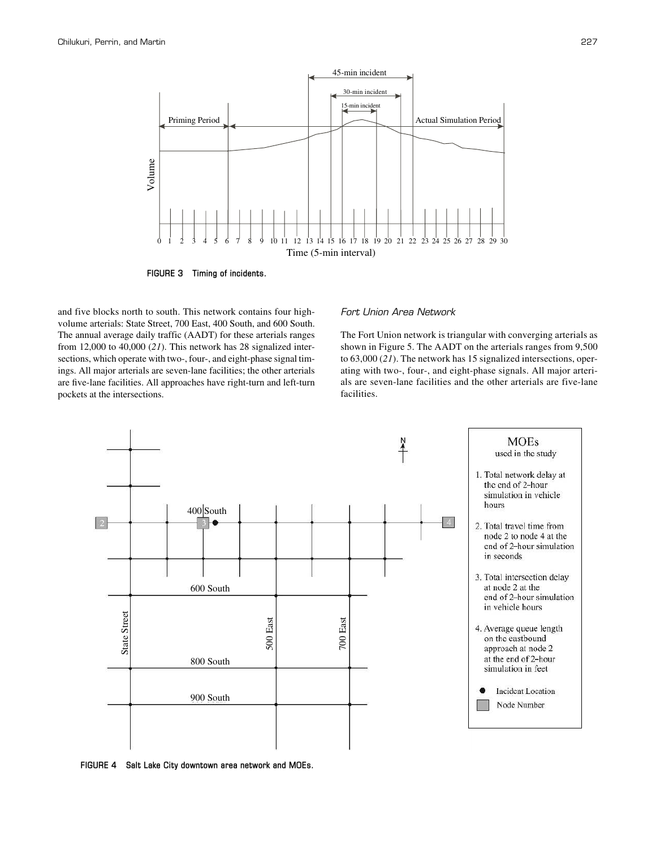

**FIGURE 3 Timing of incidents.**

and five blocks north to south. This network contains four highvolume arterials: State Street, 700 East, 400 South, and 600 South. The annual average daily traffic (AADT) for these arterials ranges from 12,000 to 40,000 (*21*). This network has 28 signalized intersections, which operate with two-, four-, and eight-phase signal timings. All major arterials are seven-lane facilities; the other arterials are five-lane facilities. All approaches have right-turn and left-turn pockets at the intersections.

# Fort Union Area Network

The Fort Union network is triangular with converging arterials as shown in Figure 5. The AADT on the arterials ranges from 9,500 to 63,000 (*21*). The network has 15 signalized intersections, operating with two-, four-, and eight-phase signals. All major arterials are seven-lane facilities and the other arterials are five-lane facilities.



**FIGURE 4 Salt Lake City downtown area network and MOEs.**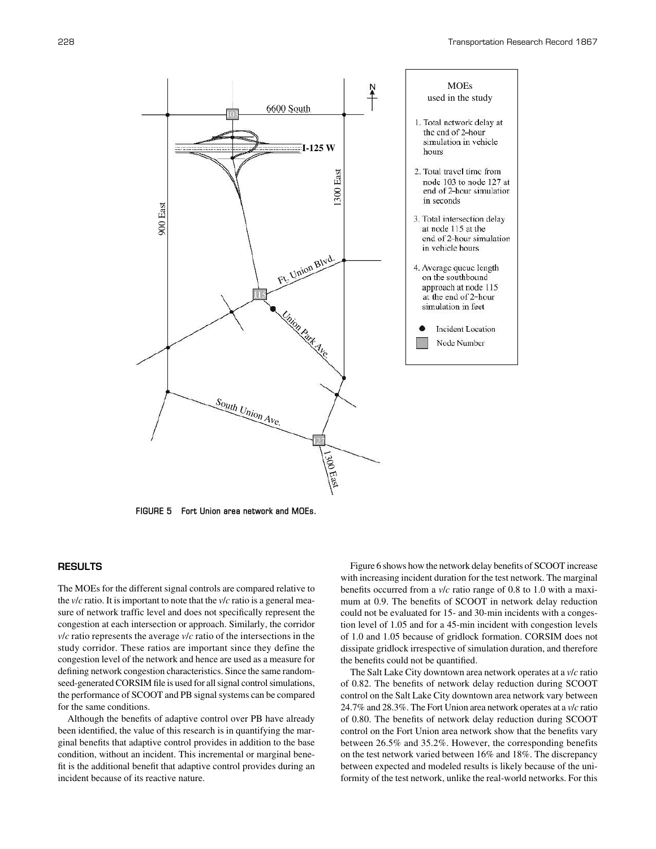

**FIGURE 5 Fort Union area network and MOEs.**

# **RESULTS**

The MOEs for the different signal controls are compared relative to the *v*/*c* ratio. It is important to note that the *v*/*c* ratio is a general measure of network traffic level and does not specifically represent the congestion at each intersection or approach. Similarly, the corridor *v*/*c* ratio represents the average *v*/*c* ratio of the intersections in the study corridor. These ratios are important since they define the congestion level of the network and hence are used as a measure for defining network congestion characteristics. Since the same randomseed-generated CORSIM file is used for all signal control simulations, the performance of SCOOT and PB signal systems can be compared for the same conditions.

Although the benefits of adaptive control over PB have already been identified, the value of this research is in quantifying the marginal benefits that adaptive control provides in addition to the base condition, without an incident. This incremental or marginal benefit is the additional benefit that adaptive control provides during an incident because of its reactive nature.

Figure 6 shows how the network delay benefits of SCOOT increase with increasing incident duration for the test network. The marginal benefits occurred from a *v*/*c* ratio range of 0.8 to 1.0 with a maximum at 0.9. The benefits of SCOOT in network delay reduction could not be evaluated for 15- and 30-min incidents with a congestion level of 1.05 and for a 45-min incident with congestion levels of 1.0 and 1.05 because of gridlock formation. CORSIM does not dissipate gridlock irrespective of simulation duration, and therefore the benefits could not be quantified.

The Salt Lake City downtown area network operates at a *v*/*c* ratio of 0.82. The benefits of network delay reduction during SCOOT control on the Salt Lake City downtown area network vary between 24.7% and 28.3%. The Fort Union area network operates at a *v*/*c* ratio of 0.80. The benefits of network delay reduction during SCOOT control on the Fort Union area network show that the benefits vary between 26.5% and 35.2%. However, the corresponding benefits on the test network varied between 16% and 18%. The discrepancy between expected and modeled results is likely because of the uniformity of the test network, unlike the real-world networks. For this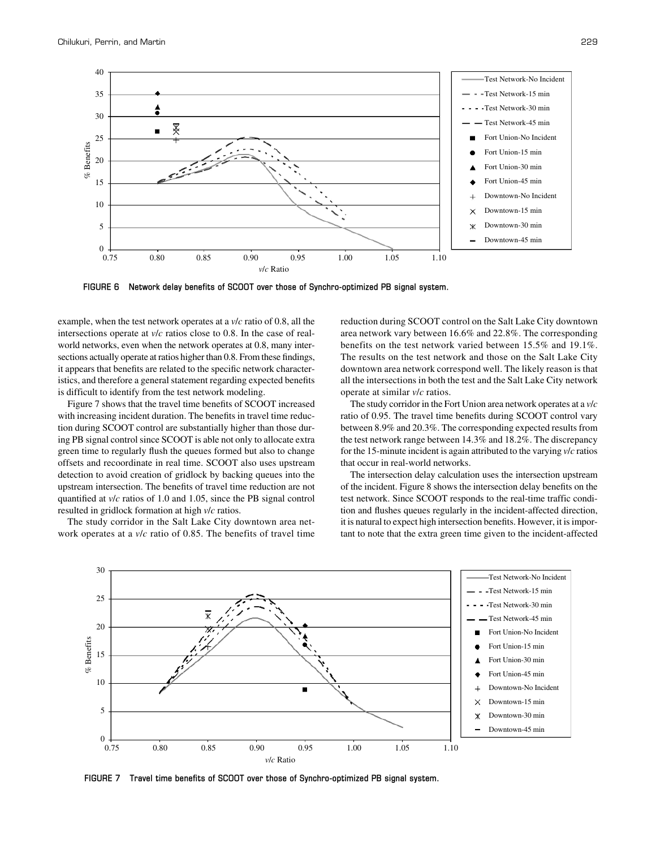

**FIGURE 6 Network delay benefits of SCOOT over those of Synchro-optimized PB signal system.**

example, when the test network operates at a *v*/*c* ratio of 0.8, all the intersections operate at *v*/*c* ratios close to 0.8. In the case of realworld networks, even when the network operates at 0.8, many intersections actually operate at ratios higher than 0.8. From these findings, it appears that benefits are related to the specific network characteristics, and therefore a general statement regarding expected benefits is difficult to identify from the test network modeling.

Figure 7 shows that the travel time benefits of SCOOT increased with increasing incident duration. The benefits in travel time reduction during SCOOT control are substantially higher than those during PB signal control since SCOOT is able not only to allocate extra green time to regularly flush the queues formed but also to change offsets and recoordinate in real time. SCOOT also uses upstream detection to avoid creation of gridlock by backing queues into the upstream intersection. The benefits of travel time reduction are not quantified at *v*/*c* ratios of 1.0 and 1.05, since the PB signal control resulted in gridlock formation at high *v*/*c* ratios.

The study corridor in the Salt Lake City downtown area network operates at a *v*/*c* ratio of 0.85. The benefits of travel time reduction during SCOOT control on the Salt Lake City downtown area network vary between 16.6% and 22.8%. The corresponding benefits on the test network varied between 15.5% and 19.1%. The results on the test network and those on the Salt Lake City downtown area network correspond well. The likely reason is that all the intersections in both the test and the Salt Lake City network operate at similar *v*/*c* ratios.

The study corridor in the Fort Union area network operates at a *v*/*c* ratio of 0.95. The travel time benefits during SCOOT control vary between 8.9% and 20.3%. The corresponding expected results from the test network range between 14.3% and 18.2%. The discrepancy for the 15-minute incident is again attributed to the varying *v*/*c* ratios that occur in real-world networks.

The intersection delay calculation uses the intersection upstream of the incident. Figure 8 shows the intersection delay benefits on the test network. Since SCOOT responds to the real-time traffic condition and flushes queues regularly in the incident-affected direction, it is natural to expect high intersection benefits. However, it is important to note that the extra green time given to the incident-affected



**FIGURE 7 Travel time benefits of SCOOT over those of Synchro-optimized PB signal system.**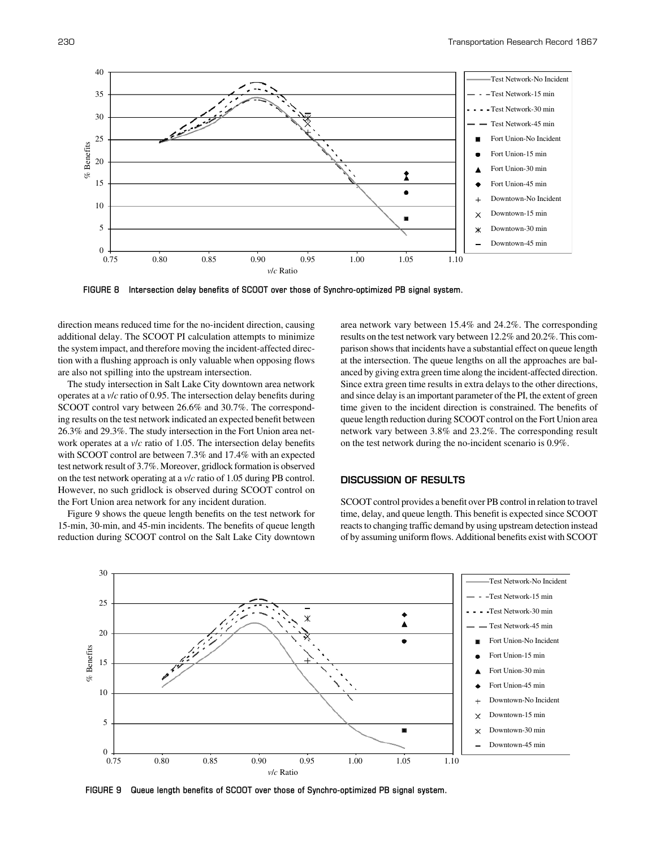

**FIGURE 8 Intersection delay benefits of SCOOT over those of Synchro-optimized PB signal system.**

direction means reduced time for the no-incident direction, causing additional delay. The SCOOT PI calculation attempts to minimize the system impact, and therefore moving the incident-affected direction with a flushing approach is only valuable when opposing flows are also not spilling into the upstream intersection.

The study intersection in Salt Lake City downtown area network operates at a *v*/*c* ratio of 0.95. The intersection delay benefits during SCOOT control vary between 26.6% and 30.7%. The corresponding results on the test network indicated an expected benefit between 26.3% and 29.3%. The study intersection in the Fort Union area network operates at a *v*/*c* ratio of 1.05. The intersection delay benefits with SCOOT control are between 7.3% and 17.4% with an expected test network result of 3.7%. Moreover, gridlock formation is observed on the test network operating at a *v*/*c* ratio of 1.05 during PB control. However, no such gridlock is observed during SCOOT control on the Fort Union area network for any incident duration.

Figure 9 shows the queue length benefits on the test network for 15-min, 30-min, and 45-min incidents. The benefits of queue length reduction during SCOOT control on the Salt Lake City downtown area network vary between 15.4% and 24.2%. The corresponding results on the test network vary between 12.2% and 20.2%. This comparison shows that incidents have a substantial effect on queue length at the intersection. The queue lengths on all the approaches are balanced by giving extra green time along the incident-affected direction. Since extra green time results in extra delays to the other directions, and since delay is an important parameter of the PI, the extent of green time given to the incident direction is constrained. The benefits of queue length reduction during SCOOT control on the Fort Union area network vary between 3.8% and 23.2%. The corresponding result on the test network during the no-incident scenario is 0.9%.

# DISCUSSION OF RESULTS

SCOOT control provides a benefit over PB control in relation to travel time, delay, and queue length. This benefit is expected since SCOOT reacts to changing traffic demand by using upstream detection instead of by assuming uniform flows. Additional benefits exist with SCOOT



**FIGURE 9 Queue length benefits of SCOOT over those of Synchro-optimized PB signal system.**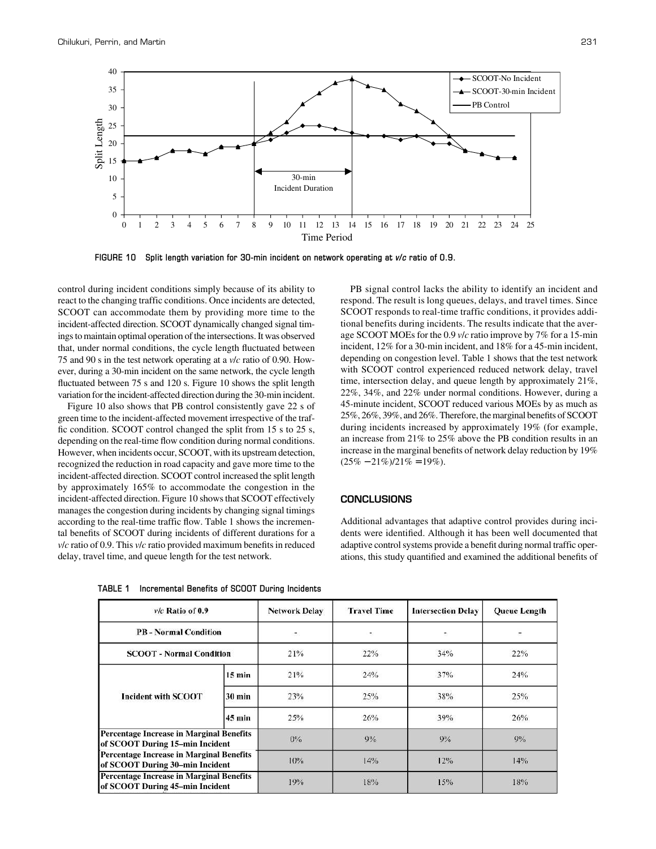

**FIGURE 10 Split length variation for 30-min incident on network operating at** *v***/***c* **ratio of 0.9.**

control during incident conditions simply because of its ability to react to the changing traffic conditions. Once incidents are detected, SCOOT can accommodate them by providing more time to the incident-affected direction. SCOOT dynamically changed signal timings to maintain optimal operation of the intersections. It was observed that, under normal conditions, the cycle length fluctuated between 75 and 90 s in the test network operating at a *v*/*c* ratio of 0.90. However, during a 30-min incident on the same network, the cycle length fluctuated between 75 s and 120 s. Figure 10 shows the split length variation for the incident-affected direction during the 30-min incident.

Figure 10 also shows that PB control consistently gave 22 s of green time to the incident-affected movement irrespective of the traffic condition. SCOOT control changed the split from 15 s to 25 s, depending on the real-time flow condition during normal conditions. However, when incidents occur, SCOOT, with its upstream detection, recognized the reduction in road capacity and gave more time to the incident-affected direction. SCOOT control increased the split length by approximately 165% to accommodate the congestion in the incident-affected direction. Figure 10 shows that SCOOT effectively manages the congestion during incidents by changing signal timings according to the real-time traffic flow. Table 1 shows the incremental benefits of SCOOT during incidents of different durations for a *v*/*c* ratio of 0.9. This *v*/*c* ratio provided maximum benefits in reduced delay, travel time, and queue length for the test network.

SCOOT responds to real-time traffic conditions, it provides additional benefits during incidents. The results indicate that the average SCOOT MOEs for the 0.9 *v*/*c* ratio improve by 7% for a 15-min incident, 12% for a 30-min incident, and 18% for a 45-min incident, depending on congestion level. Table 1 shows that the test network with SCOOT control experienced reduced network delay, travel time, intersection delay, and queue length by approximately 21%, 22%, 34%, and 22% under normal conditions. However, during a 45-minute incident, SCOOT reduced various MOEs by as much as 25%, 26%, 39%, and 26%. Therefore, the marginal benefits of SCOOT during incidents increased by approximately 19% (for example, an increase from 21% to 25% above the PB condition results in an increase in the marginal benefits of network delay reduction by 19%  $(25\% - 21\%)/21\% = 19\%).$ 

PB signal control lacks the ability to identify an incident and respond. The result is long queues, delays, and travel times. Since

# **CONCLUSIONS**

Additional advantages that adaptive control provides during incidents were identified. Although it has been well documented that adaptive control systems provide a benefit during normal traffic operations, this study quantified and examined the additional benefits of

| $v/c$ Ratio of 0.9                                                                 |                  | <b>Network Delay</b>     | <b>Travel Time</b> | <b>Intersection Delay</b> | <b>Queue Length</b> |
|------------------------------------------------------------------------------------|------------------|--------------------------|--------------------|---------------------------|---------------------|
| <b>PB</b> - Normal Condition                                                       |                  | $\overline{\phantom{a}}$ | ۳                  | õ                         | ÷.                  |
| <b>SCOOT - Normal Condition</b>                                                    |                  | 21%                      | 22%                | 34%                       | 22%                 |
| <b>Incident with SCOOT</b>                                                         | $15 \text{ min}$ | 21%                      | 24%                | 37%                       | 24%                 |
|                                                                                    | $30 \text{ min}$ | 23%                      | 25%                | 38%                       | 25%                 |
|                                                                                    | $45 \text{ min}$ | 25%                      | 26%                | 39%                       | 26%                 |
| <b>Percentage Increase in Marginal Benefits</b><br>of SCOOT During 15-min Incident |                  | $0\%$                    | 9%                 | $9\%$                     | 9%                  |
| <b>Percentage Increase in Marginal Benefits</b><br>of SCOOT During 30-min Incident |                  | 10%                      | 14%                | 12%                       | 14%                 |
| <b>Percentage Increase in Marginal Benefits</b><br>of SCOOT During 45-min Incident |                  | 19%                      | 18%                | 15%                       | 18%                 |

| TABLE 1 | Incremental Benefits of SCOOT During Incidents |  |  |  |  |
|---------|------------------------------------------------|--|--|--|--|
|---------|------------------------------------------------|--|--|--|--|